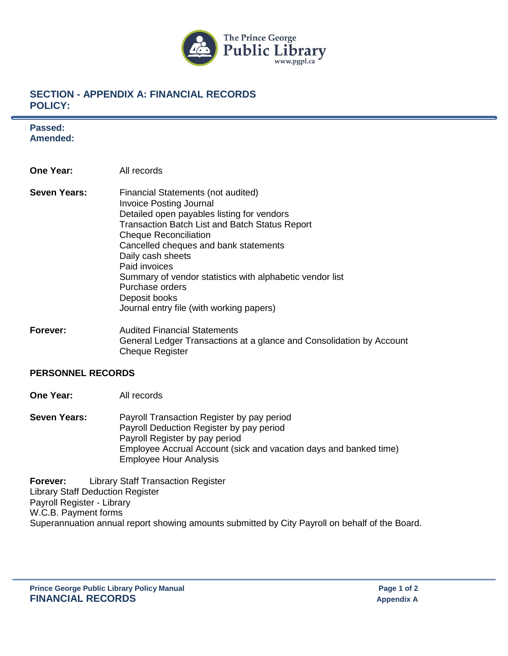

## **SECTION - APPENDIX A: FINANCIAL RECORDS POLICY:**

**Passed: Amended:**

- **One Year:** All records
- **Seven Years:** Financial Statements (not audited) Invoice Posting Journal Detailed open payables listing for vendors Transaction Batch List and Batch Status Report Cheque Reconciliation Cancelled cheques and bank statements Daily cash sheets Paid invoices Summary of vendor statistics with alphabetic vendor list Purchase orders Deposit books Journal entry file (with working papers)
- **Forever:** Audited Financial Statements General Ledger Transactions at a glance and Consolidation by Account Cheque Register

## **PERSONNEL RECORDS**

**One Year:** All records

**Seven Years:** Payroll Transaction Register by pay period Payroll Deduction Register by pay period Payroll Register by pay period Employee Accrual Account (sick and vacation days and banked time) Employee Hour Analysis

**Forever:** Library Staff Transaction Register Library Staff Deduction Register Payroll Register - Library W.C.B. Payment forms Superannuation annual report showing amounts submitted by City Payroll on behalf of the Board.